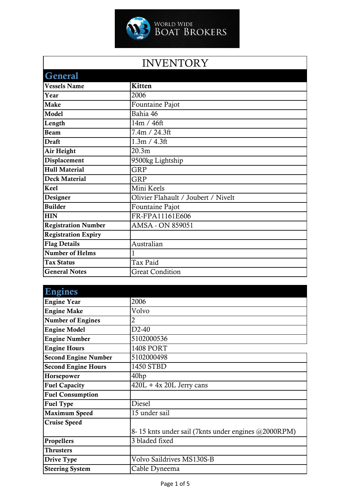

## INVENTORY

| <b>General</b>             |                                     |
|----------------------------|-------------------------------------|
| <b>Vessels Name</b>        | Kitten                              |
| Year                       | 2006                                |
| <b>Make</b>                | Fountaine Pajot                     |
| Model                      | Bahia 46                            |
| Length                     | 14m / 46ft                          |
| <b>Beam</b>                | 7.4m / 24.3ft                       |
| <b>Draft</b>               | 1.3m / 4.3ft                        |
| Air Height                 | 20.3 <sub>m</sub>                   |
| Displacement               | 9500kg Lightship                    |
| <b>Hull Material</b>       | <b>GRP</b>                          |
| <b>Deck Material</b>       | <b>GRP</b>                          |
| Keel                       | Mini Keels                          |
| Designer                   | Olivier Flahault / Joubert / Nivelt |
| <b>Builder</b>             | Fountaine Pajot                     |
| <b>HIN</b>                 | FR-FPA11161E606                     |
| <b>Registration Number</b> | AMSA - ON 859051                    |
| <b>Registration Expiry</b> |                                     |
| <b>Flag Details</b>        | Australian                          |
| Number of Helms            |                                     |
| <b>Tax Status</b>          | Tax Paid                            |
| <b>General Notes</b>       | <b>Great Condition</b>              |

| Engines                     |                                                     |
|-----------------------------|-----------------------------------------------------|
| <b>Engine Year</b>          | 2006                                                |
| <b>Engine Make</b>          | Volvo                                               |
| <b>Number of Engines</b>    | 2                                                   |
| <b>Engine Model</b>         | $D2-40$                                             |
| <b>Engine Number</b>        | 5102000536                                          |
| <b>Engine Hours</b>         | <b>1408 PORT</b>                                    |
| <b>Second Engine Number</b> | 5102000498                                          |
| <b>Second Engine Hours</b>  | 1450 STBD                                           |
| Horsepower                  | 40 <sub>hp</sub>                                    |
| <b>Fuel Capacity</b>        | $420L + 4x 20L$ Jerry cans                          |
| <b>Fuel Consumption</b>     |                                                     |
| <b>Fuel Type</b>            | Diesel                                              |
| <b>Maximum Speed</b>        | 15 under sail                                       |
| <b>Cruise Speed</b>         |                                                     |
|                             | 8-15 knts under sail (7knts under engines @2000RPM) |
| Propellers                  | 3 bladed fixed                                      |
| <b>Thrusters</b>            |                                                     |
| Drive Type                  | Volvo Saildrives MS130S-B                           |
| <b>Steering System</b>      | Cable Dyneema                                       |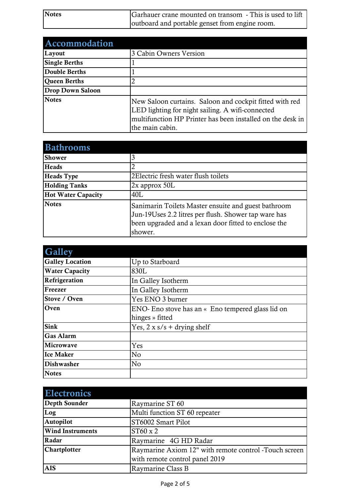| <b>Notes</b> | Garhauer crane mounted on transom - This is used to lift |
|--------------|----------------------------------------------------------|
|              | outboard and portable genset from engine room.           |

| <b>Accommodation</b>    |                                                                                                                                                                                              |
|-------------------------|----------------------------------------------------------------------------------------------------------------------------------------------------------------------------------------------|
| Layout                  | 3 Cabin Owners Version                                                                                                                                                                       |
| <b>Single Berths</b>    |                                                                                                                                                                                              |
| <b>Double Berths</b>    |                                                                                                                                                                                              |
| <b>Oueen Berths</b>     |                                                                                                                                                                                              |
| <b>Drop Down Saloon</b> |                                                                                                                                                                                              |
| <b>Notes</b>            | New Saloon curtains. Saloon and cockpit fitted with red<br>LED lighting for night sailing. A wifi-connected<br>multifunction HP Printer has been installed on the desk in<br>the main cabin. |

| <b>Bathrooms</b>          |                                                                                                                                                                                |
|---------------------------|--------------------------------------------------------------------------------------------------------------------------------------------------------------------------------|
| <b>Shower</b>             |                                                                                                                                                                                |
| Heads                     |                                                                                                                                                                                |
| <b>Heads Type</b>         | 2Electric fresh water flush toilets                                                                                                                                            |
| <b>Holding Tanks</b>      | $2x$ approx $50L$                                                                                                                                                              |
| <b>Hot Water Capacity</b> | 40L                                                                                                                                                                            |
| <b>Notes</b>              | Sanimarin Toilets Master ensuite and guest bathroom<br>Jun-19Uses 2.2 litres per flush. Shower tap ware has<br>been upgraded and a lexan door fitted to enclose the<br>shower. |

| <b>Galley</b>          |                                                   |
|------------------------|---------------------------------------------------|
| <b>Galley Location</b> | Up to Starboard                                   |
| <b>Water Capacity</b>  | 830L                                              |
| Refrigeration          | In Galley Isotherm                                |
| Freezer                | In Galley Isotherm                                |
| Stove / Oven           | Yes ENO 3 burner                                  |
| Oven                   | ENO- Eno stove has an « Eno tempered glass lid on |
|                        | hinges » fitted                                   |
| <b>Sink</b>            | Yes, $2 \times s/s +$ drying shelf                |
| <b>Gas Alarm</b>       |                                                   |
| Microwave              | Yes                                               |
| <b>Ice Maker</b>       | No                                                |
| <b>Dishwasher</b>      | No                                                |
| <b>Notes</b>           |                                                   |

| <b>Electronics</b>      |                                                       |
|-------------------------|-------------------------------------------------------|
| <b>Depth Sounder</b>    | Raymarine ST 60                                       |
| Log                     | Multi function ST 60 repeater                         |
| Autopilot               | ST6002 Smart Pilot                                    |
| <b>Wind Instruments</b> | ST60 x 2                                              |
| Radar                   | Raymarine 4G HD Radar                                 |
| Chartplotter            | Raymarine Axiom 12" with remote control -Touch screen |
|                         | with remote control panel 2019                        |
| <b>AIS</b>              | Raymarine Class B                                     |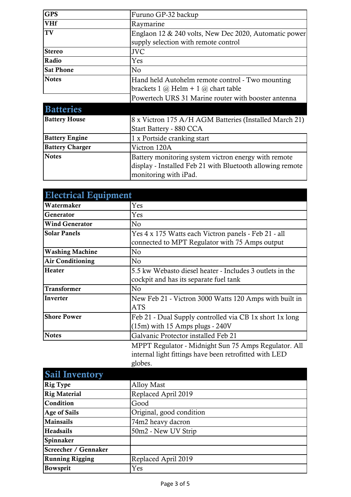| <b>GPS</b>             | Furuno GP-32 backup                                                                                                                        |
|------------------------|--------------------------------------------------------------------------------------------------------------------------------------------|
| <b>VHf</b>             | Raymarine                                                                                                                                  |
| TV                     | Englaon 12 & 240 volts, New Dec 2020, Automatic power                                                                                      |
|                        | supply selection with remote control                                                                                                       |
| <b>Stereo</b>          | <b>JVC</b>                                                                                                                                 |
| Radio                  | Yes                                                                                                                                        |
| <b>Sat Phone</b>       | No                                                                                                                                         |
| <b>Notes</b>           | Hand held Autohelm remote control - Two mounting                                                                                           |
|                        | brackets $1 \ (\partial)$ Helm + $1 \ (\partial)$ chart table                                                                              |
|                        | Powertech URS 31 Marine router with booster antenna                                                                                        |
| <b>Batteries</b>       |                                                                                                                                            |
| <b>Battery House</b>   | 8 x Victron 175 A/H AGM Batteries (Installed March 21)                                                                                     |
|                        | Start Battery - 880 CCA                                                                                                                    |
| <b>Battery Engine</b>  | 1 x Portside cranking start                                                                                                                |
| <b>Battery Charger</b> | Victron 120A                                                                                                                               |
| <b>Notes</b>           | Battery monitoring system victron energy with remote<br>display - Installed Feb 21 with Bluetooth allowing remote<br>monitoring with iPad. |

| <b>Electrical Equipment</b> |                                                          |
|-----------------------------|----------------------------------------------------------|
| Watermaker                  | Yes                                                      |
| Generator                   | Yes                                                      |
| <b>Wind Generator</b>       | N <sub>0</sub>                                           |
| <b>Solar Panels</b>         | Yes 4 x 175 Watts each Victron panels - Feb 21 - all     |
|                             | connected to MPT Regulator with 75 Amps output           |
| <b>Washing Machine</b>      | N <sub>0</sub>                                           |
| <b>Air Conditioning</b>     | No                                                       |
| Heater                      | 5.5 kw Webasto diesel heater - Includes 3 outlets in the |
|                             | cockpit and has its separate fuel tank                   |
| <b>Transformer</b>          | No                                                       |
| Inverter                    | New Feb 21 - Victron 3000 Watts 120 Amps with built in   |
|                             | <b>ATS</b>                                               |
| <b>Shore Power</b>          | Feb 21 - Dual Supply controlled via CB 1x short 1x long  |
|                             | $(15m)$ with 15 Amps plugs - 240V                        |
| <b>Notes</b>                | Galvanic Protector installed Feb 21                      |
|                             | MPPT Regulator - Midnight Sun 75 Amps Regulator. All     |

internal light fittings have been retrofitted with LED globes.

| <b>Sail Inventory</b>  |                          |
|------------------------|--------------------------|
| <b>Rig Type</b>        | <b>Alloy Mast</b>        |
| <b>Rig Material</b>    | Replaced April 2019      |
| Condition              | Good                     |
| <b>Age of Sails</b>    | Original, good condition |
| <b>Mainsails</b>       | 74m2 heavy dacron        |
| Headsails              | 50m2 - New UV Strip      |
| Spinnaker              |                          |
| Screecher / Gennaker   |                          |
| <b>Running Rigging</b> | Replaced April 2019      |
| <b>Bowsprit</b>        | Yes                      |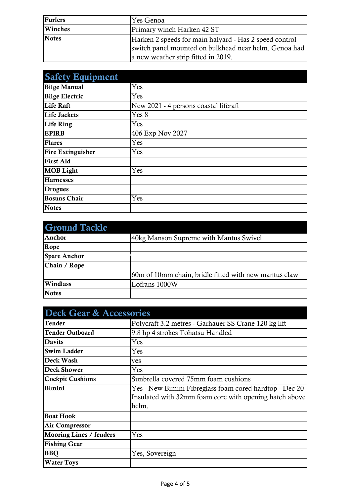| <b>Furlers</b> | 'Yes Genoa                                                                                                                                             |
|----------------|--------------------------------------------------------------------------------------------------------------------------------------------------------|
| Winches        | Primary winch Harken 42 ST                                                                                                                             |
| <b>Notes</b>   | Harken 2 speeds for main halyard - Has 2 speed control<br>switch panel mounted on bulkhead near helm. Genoa had<br>a new weather strip fitted in 2019. |

| <b>Safety Equipment</b>  |                                       |
|--------------------------|---------------------------------------|
| <b>Bilge Manual</b>      | Yes                                   |
| <b>Bilge Electric</b>    | Yes                                   |
| <b>Life Raft</b>         | New 2021 - 4 persons coastal liferaft |
| <b>Life Jackets</b>      | Yes 8                                 |
| Life Ring                | Yes                                   |
| <b>EPIRB</b>             | 406 Exp Nov 2027                      |
| <b>Flares</b>            | Yes                                   |
| <b>Fire Extinguisher</b> | Yes                                   |
| <b>First Aid</b>         |                                       |
| <b>MOB</b> Light         | Yes                                   |
| <b>Harnesses</b>         |                                       |
| <b>Drogues</b>           |                                       |
| <b>Bosuns Chair</b>      | Yes                                   |
| <b>Notes</b>             |                                       |

| <b>Ground Tackle</b> |                                                       |
|----------------------|-------------------------------------------------------|
| Anchor               | 40kg Manson Supreme with Mantus Swivel                |
| Rope                 |                                                       |
| <b>Spare Anchor</b>  |                                                       |
| Chain / Rope         |                                                       |
|                      | 60m of 10mm chain, bridle fitted with new mantus claw |
| Windlass             | Lofrans 1000W                                         |
| <b>Notes</b>         |                                                       |

| <b>Deck Gear &amp; Accessories</b> |                                                                                                                            |
|------------------------------------|----------------------------------------------------------------------------------------------------------------------------|
| <b>Tender</b>                      | Polycraft 3.2 metres - Garhauer SS Crane 120 kg lift                                                                       |
| <b>Tender Outboard</b>             | 9.8 hp 4 strokes Tohatsu Handled                                                                                           |
| <b>Davits</b>                      | Yes                                                                                                                        |
| <b>Swim Ladder</b>                 | Yes                                                                                                                        |
| Deck Wash                          | yes                                                                                                                        |
| <b>Deck Shower</b>                 | Yes                                                                                                                        |
| <b>Cockpit Cushions</b>            | Sunbrella covered 75mm foam cushions                                                                                       |
| <b>Bimini</b>                      | Yes - New Bimini Fibreglass foam cored hardtop - Dec 20<br>Insulated with 32mm foam core with opening hatch above<br>helm. |
| <b>Boat Hook</b>                   |                                                                                                                            |
| <b>Air Compressor</b>              |                                                                                                                            |
| <b>Mooring Lines / fenders</b>     | Yes                                                                                                                        |
| <b>Fishing Gear</b>                |                                                                                                                            |
| <b>BBQ</b>                         | Yes, Sovereign                                                                                                             |
| <b>Water Toys</b>                  |                                                                                                                            |